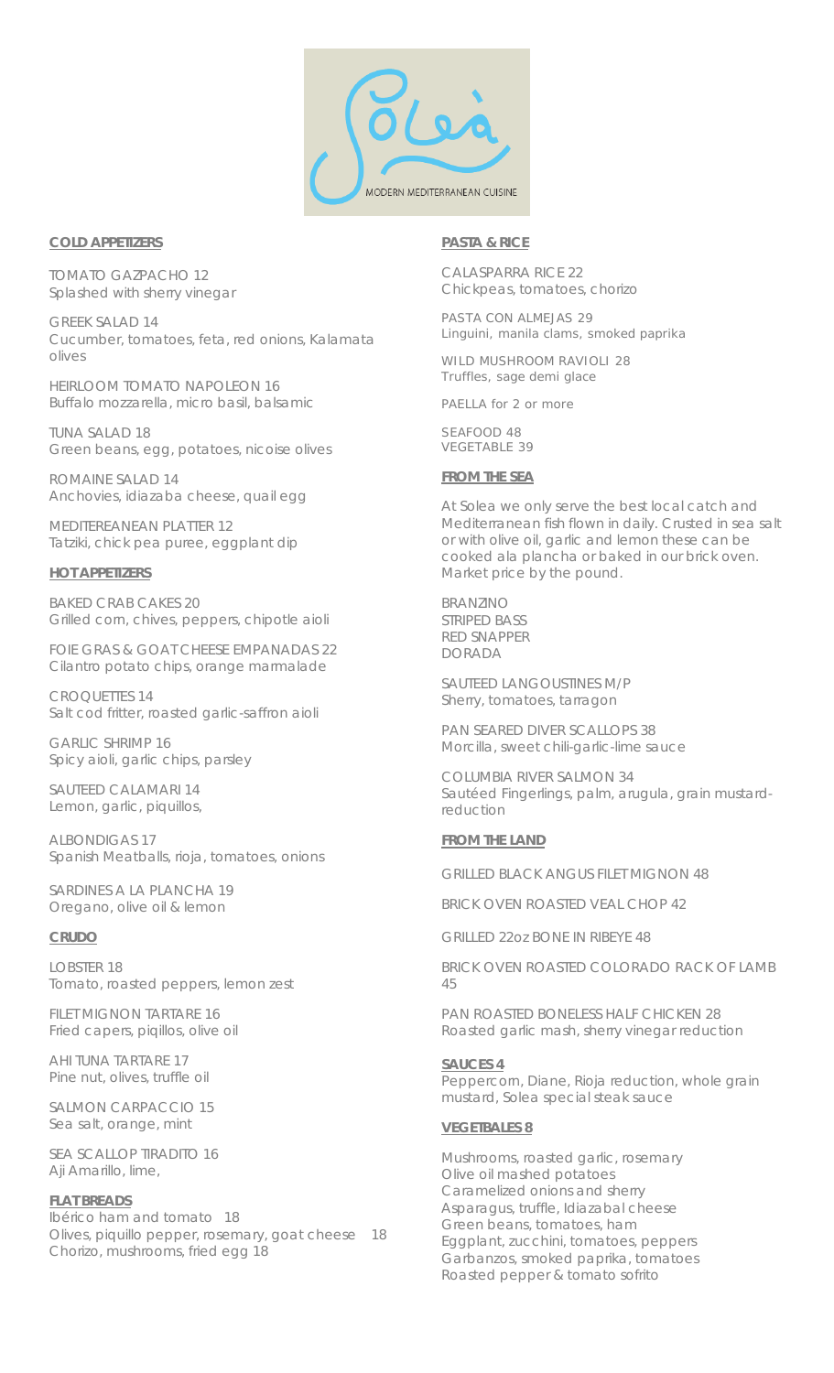

## **COLD APPETIZERS**

TOMATO GAZPACHO 12 Splashed with sherry vinegar

GREEK SALAD 14 Cucumber, tomatoes, feta, red onions, Kalamata olives

HEIRLOOM TOMATO NAPOLEON 16 Buffalo mozzarella, micro basil, balsamic

TUNA SALAD 18 Green beans, egg, potatoes, nicoise olives

ROMAINE SALAD 14 Anchovies, idiazaba cheese, quail egg

MEDITEREANEAN PLATTER 12 Tatziki, chick pea puree, eggplant dip

## **HOT APPETIZERS**

BAKED CRAB CAKES 20 Grilled corn, chives, peppers, chipotle aioli

FOIE GRAS & GOAT CHEESE EMPANADAS 22 Cilantro potato chips, orange marmalade

CROQUETTES 14 Salt cod fritter, roasted garlic-saffron aioli

GARLIC SHRIMP 16 Spicy aioli, garlic chips, parsley

SAUTEED CALAMARI 14 Lemon, garlic, piquillos,

ALBONDIGAS 17 Spanish Meatballs, rioja, tomatoes, onions

SARDINES A LA PLANCHA 19 Oregano, olive oil & lemon

# **CRUDO**

LOBSTER 18 Tomato, roasted peppers, lemon zest

FILET MIGNON TARTARE 16 Fried capers, piqillos, olive oil

AHI TUNA TARTARE 17 Pine nut, olives, truffle oil

SALMON CARPACCIO 15 Sea salt, orange, mint

SEA SCALLOP TIRADITO 16 Aji Amarillo, lime,

### **FLAT BREADS**

Ibérico ham and tomato 18 Olives, piquillo pepper, rosemary, goat cheese 18 Chorizo, mushrooms, fried egg 18

## **PASTA & RICE**

CALASPARRA RICE 22 Chickpeas, tomatoes, chorizo

PASTA CON ALMEJAS 29 Linguini, manila clams, smoked paprika

WILD MUSHROOM RAVIOLI 28 Truffles, sage demi glace

PAELLA *for 2 or more* 

SEAFOOD 48 VEGETABLE 39

## **FROM THE SEA**

*At Solea we only serve the best local catch and Mediterranean fish flown in daily. Crusted in sea salt or with olive oil, garlic and lemon these can be cooked ala plancha or baked in our brick oven. Market price by the pound.* 

BRANZINO STRIPED BASS RED SNAPPER DORADA

SAUTEED LANGOUSTINES M/P Sherry, tomatoes, tarragon

PAN SEARED DIVER SCALLOPS 38 Morcilla, sweet chili-garlic-lime sauce

COLUMBIA RIVER SALMON 34 Sautéed Fingerlings, palm, arugula, grain mustardreduction

# **FROM THE LAND**

GRILLED BLACK ANGUS FILET MIGNON 48

BRICK OVEN ROASTED VEAL CHOP 42

GRILLED 22oz BONE IN RIBEYE 48

BRICK OVEN ROASTED COLORADO RACK OF LAMB 45

PAN ROASTED BONELESS HALF CHICKEN 28 Roasted garlic mash, sherry vinegar reduction

### **SAUCES 4**

Peppercorn, Diane, Rioja reduction, whole grain mustard, Solea special steak sauce

### **VEGETBALES 8**

Mushrooms, roasted garlic, rosemary Olive oil mashed potatoes Caramelized onions and sherry Asparagus, truffle, Idiazabal cheese Green beans, tomatoes, ham Eggplant, zucchini, tomatoes, peppers Garbanzos, smoked paprika, tomatoes Roasted pepper & tomato sofrito